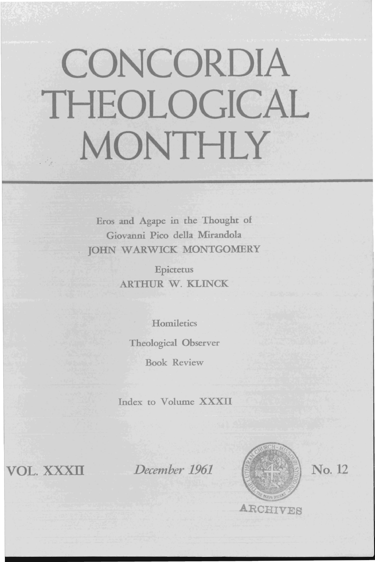# **CONCORDIA THEOLOGICAL MONTHLY**

Eros and Agape in the Thought of Giovanni Pico della Mirandola JOHN WARWICK MONTGOMERY

> Epictetus ARTHUR W. KLINCK

**Homiletics** Theological Observer Book Review

Index to Volume XXXII

VOL. xxxn

*December 1961* 



No. 12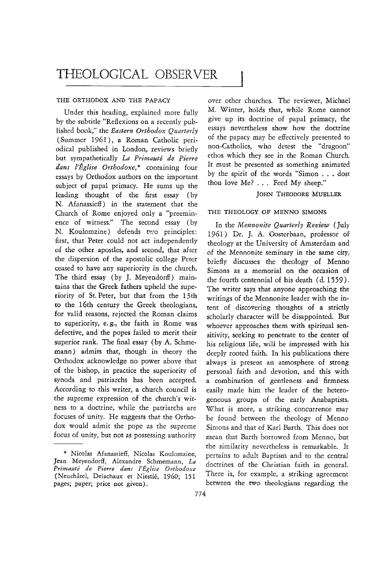# THEOLOGICAL OBSERVER

#### THE ORTHODOX AND THE PAPACY

Under this heading, explained more fully by the subtitle "Reflexions on a recently published book," the *Eastern Orthodox Quarterly*  (Summer 1961), a Roman Catholic periodical published in London, reviews briefly but sympathetically *La Primaute de Pierre dans l'Eglise Orthodoxe,* \* containing four essays by Orthodox authors on the important subject of papal primacy. He sums up the leading thought of the first essay (by N. Afanassieff) in the statement that the Church of Rome enjoyed only a "preeminence of witness." The second essay (by N. Koulomzine) defends two principles: first, that Peter could not act independently of the other apostles, and second, that after the dispersion of the apostolic college Peter ceased to have any superiority in the church. The third essay (by J. Meyendorff) maintains that the Greek fathers upheld the superiority of St. Peter, but that from the 13th to the 16th century the Greek theologians, for valid reasons, rejected the Roman claims to superiority, e. g., the faith in Rome was defective, and the popes failed to merit their superior rank. The final essay (by A. Schmemann) admits that, though in theory the Orthodox acknowledge no power above that of the bishop, in practice the superiority of synods and patriarchs has been accepted. According to this writer, a church council is the supreme expression of the church's witness to a doctrine, while the patriarchs are focuses of unity. He suggests that the Orthodox would admit the pope as the supreme focus of unity, but not as possessing authority

over other churches. The reviewer, Michael M. Winter, holds that, while Rome cannot give up its doctrine of papal primacy, the essays nevertheless show how the doctrine of the papacy may be effectively presented to non-Catholics, who detest the "dragoon" ethos which they see in the Roman Church. It must be presented as something animated by the spirit of the words "Simon ... dost thou love Me? ... Feed My sheep."

### JOHN THEODORE MUELLER

#### THE THEOLOGY OF MENNO SIMONS

In the *Mennonite Quarterly Review* (July 1961) Dr. J. A. Oosterbaan, professor of theology at the University of Amsterdam and of the Mennonite seminary in the same city, briefly discusses the theology of Menno Simons as a memorial on the occasion of the fourth centennial of his death (d. 1559). The writer says that anyone approaching the writings of the Mennonite leader with the intent of discovering thoughts of a strictly scholarly character will be disappointed. But whoever approaches them with spiritual sensitivity, seeking to penetrate to the center of his religious life, will be impressed with his deeply rooted faith. In his publications there always is present an atmosphere of strong personal faith and devotion, and this with a combination of gentleness and firmness easily made him the leader of the heterogeneous groups of the early Anabaptists. What is more, a striking concurrence may be found between the theology of Menno Simons and that of Karl Barth. This does not mean that Barth borrowed from Menno, but the similarity nevertheless is remarkable. It pertains to adult Baptism and to the central doctrines of the Christian faith in general. There is, for example, a striking agreement between the two theologians regarding the

<sup>&#</sup>x27;" Nicolas Afanassieff, Nicolas Koulomzine, Jean Meyendorff, Alexandre Schmemann, *La Primaute de Pierre dans l'Eglise Orthodoxe*  (Neuchâtel, Delachaux et Niestlé, 1960; 151 pages; paper; price not given).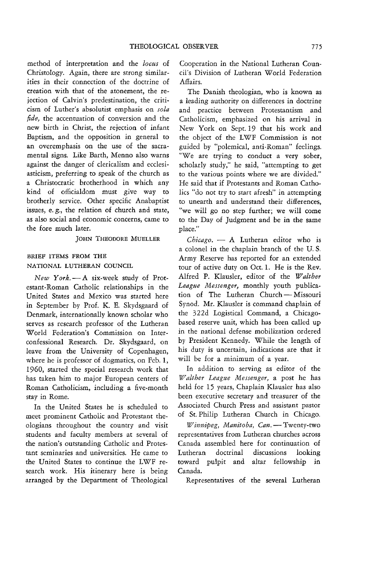method of interpretation and the *locus* of Christology. Again, there are strong similarities in their connection of the doctrine of creation with that of the atonement, the rejection of Calvin's predestination, the criticism of Luther's absolutist emphasis on *sola*  fide, the accentuation of conversion and the new birth in Christ, the rejection of infant Baptism, and the opposition in general to an overemphasis on the use of the sacramental signs. Like Barth, Menno also warns against the danger of clericalism and ecclesiasticism, preferring to speak of the church as a Christocratic brotherhood in which any kind of officialdom must give way to brotherly service. Other specific Anabaptist issues, e. g., the relation of church and state, as also social and economic concerns, came to the fore much later.

JOHN THEODORE MUELLER

## BRIEF ITEMS FROM THE NATIONAL LUTHERAN COUNCIL

*New Y01'k.-A* six-week study of Protestant-Roman Catholic relationships in the United States and Mexico was started here in September by Prof. K. E. Skydsgaard of Denmark, internationally known scholar who serves as research professor of the Lutheran World Federation's Commission on Interconfessional Research. Dr. Skydsgaard, on leave from the University of Copenhagen, where he is professor of dogmatics, on Feb. 1, 1960, started the special research work that has taken him to major European centers of Roman Catholicism, including a five-month stay in Rome.

In the United States he is scheduled to meet prominent Catholic and Protestant theologians throughout the country and visit students and faculty members at several of the nation's outstanding Catholic and Protestant seminaries and universities. He came to the United States to continue the LWF research work. His itinerary here *is* being arranged by the Department of Theological

Cooperation in the National Lutheran Council's Division of Lutheran World Federation Affairs.

The Danish theologian, who is known as a leading authority on differences in doctrine and practice between Protestantism and Catholicism, emphasized on his arrival in New York on Sept. 19 that his work and the object of the LWF Commission is not guided by "polemical, anti-Roman" feelings. "We are trying to conduct a very sober, scholarly study," he said, "attempting to get to the various points where we are divided." He said that if Protestants and Roman Catholics "do not try to start afresh" in attempting to unearth and understand their differences, "we will go no step further; we will come to the Day of Judgment and be in the same place."

Chicago. - A Lutheran editor who is a colonel in the chaplain branch of the U.S. Army Reserve has reported for an extended tour of active duty on Oct. 1. He is the Rev. Alfred P. Klausler, editor of the *Walther* League Messenger, monthly youth publication of The Lutheran Church-Missouri Synod. Mr. Klausler is command chaplain of the 322d Logistical Command, a Chicagobased reserve unit, which has been called up in the national defense mobilization ordered by President Kennedy. While the length of his duty is uncertain, indications are that it will be for a minimum of a year.

In addition to serving as editor of the *Walther League Messenger*, a post he has held for 15 years, Chaplain Klausler has also been executive secretary and treasurer of the Associated Church Press and assistant pastor of St. Philip Lutheran Church in Chicago.

*Winnipeg, Manitoba, Can.* - Twenty-two representatives from Lutheran churches across Canada assembled here for continuation of Lutheran doctrinal discussions looking toward pulpit and altar fellowship In Canada.

Representatives of the several Lutheran